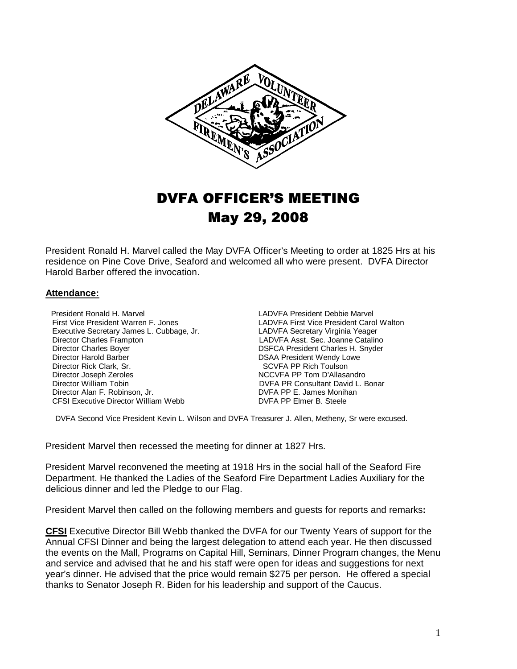

# DVFA OFFICER'S MEETING May 29, 2008

President Ronald H. Marvel called the May DVFA Officer's Meeting to order at 1825 Hrs at his residence on Pine Cove Drive, Seaford and welcomed all who were present. DVFA Director Harold Barber offered the invocation.

#### **Attendance:**

President Ronald H. Marvel **LADVFA President Debbie Marvel**<br>First Vice President Warren F. Jones **LADVFA First Vice President Card** Executive Secretary James L. Cubbage, Jr.<br>Director Charles Frampton Director Charles Frampton LADVFA Asst. Sec. Joanne Catalino Director Charles Boyer **Director Charles Boyer DSFCA President Charles H. Snyder**<br>Director Harold Barber **DISA President Wendy Lowe**  Director Rick Clark, Sr. SCVFA PP Rich Toulson Director Joseph Zeroles NCCVFA PP Tom D'Allasandro Director William Tobin DVFA PR Consultant David L. Bonar Director Alan F. Robinson, Jr. (2008) DIRECTOR DUFA PP E. James Monihan CFSI Executive Director William Webb CFSI Executive Director William Webb

LADVFA First Vice President Carol Walton<br>LADVFA Secretary Virginia Yeager DSAA President Wendy Lowe

DVFA Second Vice President Kevin L. Wilson and DVFA Treasurer J. Allen, Metheny, Sr were excused.

President Marvel then recessed the meeting for dinner at 1827 Hrs.

President Marvel reconvened the meeting at 1918 Hrs in the social hall of the Seaford Fire Department. He thanked the Ladies of the Seaford Fire Department Ladies Auxiliary for the delicious dinner and led the Pledge to our Flag.

President Marvel then called on the following members and guests for reports and remarks**:** 

**CFSI** Executive Director Bill Webb thanked the DVFA for our Twenty Years of support for the Annual CFSI Dinner and being the largest delegation to attend each year. He then discussed the events on the Mall, Programs on Capital Hill, Seminars, Dinner Program changes, the Menu and service and advised that he and his staff were open for ideas and suggestions for next year's dinner. He advised that the price would remain \$275 per person. He offered a special thanks to Senator Joseph R. Biden for his leadership and support of the Caucus.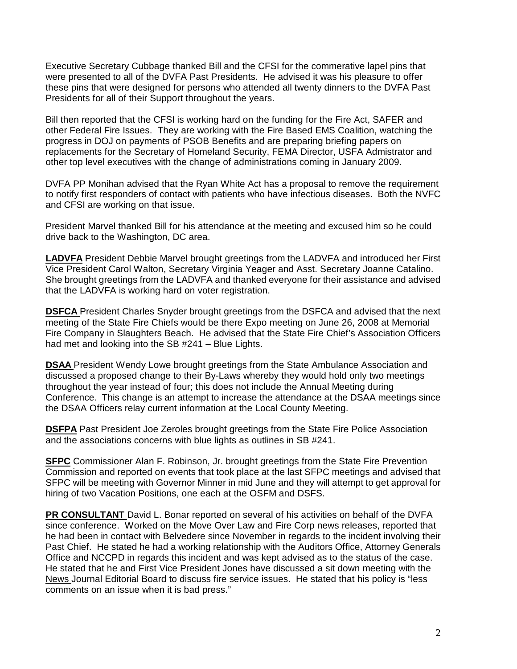Executive Secretary Cubbage thanked Bill and the CFSI for the commerative lapel pins that were presented to all of the DVFA Past Presidents. He advised it was his pleasure to offer these pins that were designed for persons who attended all twenty dinners to the DVFA Past Presidents for all of their Support throughout the years.

Bill then reported that the CFSI is working hard on the funding for the Fire Act, SAFER and other Federal Fire Issues. They are working with the Fire Based EMS Coalition, watching the progress in DOJ on payments of PSOB Benefits and are preparing briefing papers on replacements for the Secretary of Homeland Security, FEMA Director, USFA Admistrator and other top level executives with the change of administrations coming in January 2009.

DVFA PP Monihan advised that the Ryan White Act has a proposal to remove the requirement to notify first responders of contact with patients who have infectious diseases. Both the NVFC and CFSI are working on that issue.

President Marvel thanked Bill for his attendance at the meeting and excused him so he could drive back to the Washington, DC area.

**LADVFA** President Debbie Marvel brought greetings from the LADVFA and introduced her First Vice President Carol Walton, Secretary Virginia Yeager and Asst. Secretary Joanne Catalino. She brought greetings from the LADVFA and thanked everyone for their assistance and advised that the LADVFA is working hard on voter registration.

**DSFCA** President Charles Snyder brought greetings from the DSFCA and advised that the next meeting of the State Fire Chiefs would be there Expo meeting on June 26, 2008 at Memorial Fire Company in Slaughters Beach. He advised that the State Fire Chief's Association Officers had met and looking into the SB #241 – Blue Lights.

**DSAA** President Wendy Lowe brought greetings from the State Ambulance Association and discussed a proposed change to their By-Laws whereby they would hold only two meetings throughout the year instead of four; this does not include the Annual Meeting during Conference. This change is an attempt to increase the attendance at the DSAA meetings since the DSAA Officers relay current information at the Local County Meeting.

**DSFPA** Past President Joe Zeroles brought greetings from the State Fire Police Association and the associations concerns with blue lights as outlines in SB #241.

**SFPC** Commissioner Alan F. Robinson, Jr. brought greetings from the State Fire Prevention Commission and reported on events that took place at the last SFPC meetings and advised that SFPC will be meeting with Governor Minner in mid June and they will attempt to get approval for hiring of two Vacation Positions, one each at the OSFM and DSFS.

**PR CONSULTANT** David L. Bonar reported on several of his activities on behalf of the DVFA since conference. Worked on the Move Over Law and Fire Corp news releases, reported that he had been in contact with Belvedere since November in regards to the incident involving their Past Chief. He stated he had a working relationship with the Auditors Office, Attorney Generals Office and NCCPD in regards this incident and was kept advised as to the status of the case. He stated that he and First Vice President Jones have discussed a sit down meeting with the News Journal Editorial Board to discuss fire service issues. He stated that his policy is "less comments on an issue when it is bad press."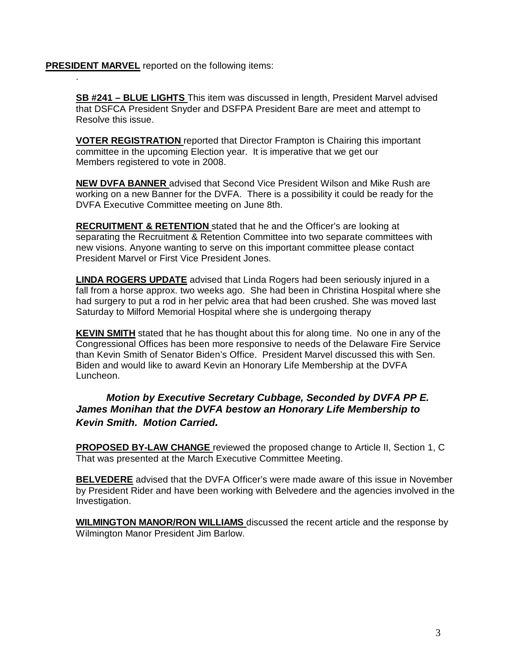**PRESIDENT MARVEL** reported on the following items:

.

**SB #241 – BLUE LIGHTS** This item was discussed in length, President Marvel advised that DSFCA President Snyder and DSFPA President Bare are meet and attempt to Resolve this issue.

**VOTER REGISTRATION** reported that Director Frampton is Chairing this important committee in the upcoming Election year. It is imperative that we get our Members registered to vote in 2008.

**NEW DVFA BANNER** advised that Second Vice President Wilson and Mike Rush are working on a new Banner for the DVFA. There is a possibility it could be ready for the DVFA Executive Committee meeting on June 8th.

**RECRUITMENT & RETENTION** stated that he and the Officer's are looking at separating the Recruitment & Retention Committee into two separate committees with new visions. Anyone wanting to serve on this important committee please contact President Marvel or First Vice President Jones.

**LINDA ROGERS UPDATE** advised that Linda Rogers had been seriously injured in a fall from a horse approx. two weeks ago. She had been in Christina Hospital where she had surgery to put a rod in her pelvic area that had been crushed. She was moved last Saturday to Milford Memorial Hospital where she is undergoing therapy

**KEVIN SMITH** stated that he has thought about this for along time. No one in any of the Congressional Offices has been more responsive to needs of the Delaware Fire Service than Kevin Smith of Senator Biden's Office. President Marvel discussed this with Sen. Biden and would like to award Kevin an Honorary Life Membership at the DVFA Luncheon.

# **Motion by Executive Secretary Cubbage, Seconded by DVFA PP E. James Monihan that the DVFA bestow an Honorary Life Membership to Kevin Smith. Motion Carried.**

**PROPOSED BY-LAW CHANGE** reviewed the proposed change to Article II, Section 1, C That was presented at the March Executive Committee Meeting.

**BELVEDERE** advised that the DVFA Officer's were made aware of this issue in November by President Rider and have been working with Belvedere and the agencies involved in the Investigation.

**WILMINGTON MANOR/RON WILLIAMS** discussed the recent article and the response by Wilmington Manor President Jim Barlow.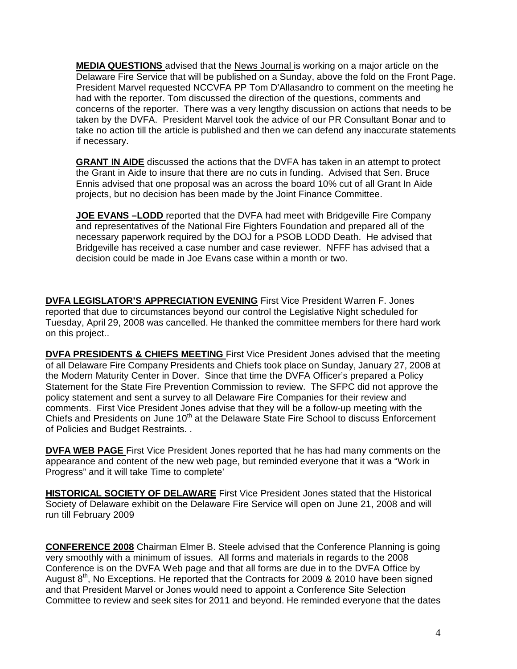**MEDIA QUESTIONS** advised that the News Journal is working on a major article on the Delaware Fire Service that will be published on a Sunday, above the fold on the Front Page. President Marvel requested NCCVFA PP Tom D'Allasandro to comment on the meeting he had with the reporter. Tom discussed the direction of the questions, comments and concerns of the reporter. There was a very lengthy discussion on actions that needs to be taken by the DVFA. President Marvel took the advice of our PR Consultant Bonar and to take no action till the article is published and then we can defend any inaccurate statements if necessary.

**GRANT IN AIDE** discussed the actions that the DVFA has taken in an attempt to protect the Grant in Aide to insure that there are no cuts in funding. Advised that Sen. Bruce Ennis advised that one proposal was an across the board 10% cut of all Grant In Aide projects, but no decision has been made by the Joint Finance Committee.

**JOE EVANS –LODD** reported that the DVFA had meet with Bridgeville Fire Company and representatives of the National Fire Fighters Foundation and prepared all of the necessary paperwork required by the DOJ for a PSOB LODD Death. He advised that Bridgeville has received a case number and case reviewer. NFFF has advised that a decision could be made in Joe Evans case within a month or two.

**DVFA LEGISLATOR'S APPRECIATION EVENING** First Vice President Warren F. Jones reported that due to circumstances beyond our control the Legislative Night scheduled for Tuesday, April 29, 2008 was cancelled. He thanked the committee members for there hard work on this project..

**DVFA PRESIDENTS & CHIEFS MEETING** First Vice President Jones advised that the meeting of all Delaware Fire Company Presidents and Chiefs took place on Sunday, January 27, 2008 at the Modern Maturity Center in Dover. Since that time the DVFA Officer's prepared a Policy Statement for the State Fire Prevention Commission to review. The SFPC did not approve the policy statement and sent a survey to all Delaware Fire Companies for their review and comments. First Vice President Jones advise that they will be a follow-up meeting with the Chiefs and Presidents on June 10<sup>th</sup> at the Delaware State Fire School to discuss Enforcement of Policies and Budget Restraints. .

**DVFA WEB PAGE** First Vice President Jones reported that he has had many comments on the appearance and content of the new web page, but reminded everyone that it was a "Work in Progress" and it will take Time to complete'

**HISTORICAL SOCIETY OF DELAWARE** First Vice President Jones stated that the Historical Society of Delaware exhibit on the Delaware Fire Service will open on June 21, 2008 and will run till February 2009

**CONFERENCE 2008** Chairman Elmer B. Steele advised that the Conference Planning is going very smoothly with a minimum of issues. All forms and materials in regards to the 2008 Conference is on the DVFA Web page and that all forms are due in to the DVFA Office by August  $8<sup>th</sup>$ , No Exceptions. He reported that the Contracts for 2009 & 2010 have been signed and that President Marvel or Jones would need to appoint a Conference Site Selection Committee to review and seek sites for 2011 and beyond. He reminded everyone that the dates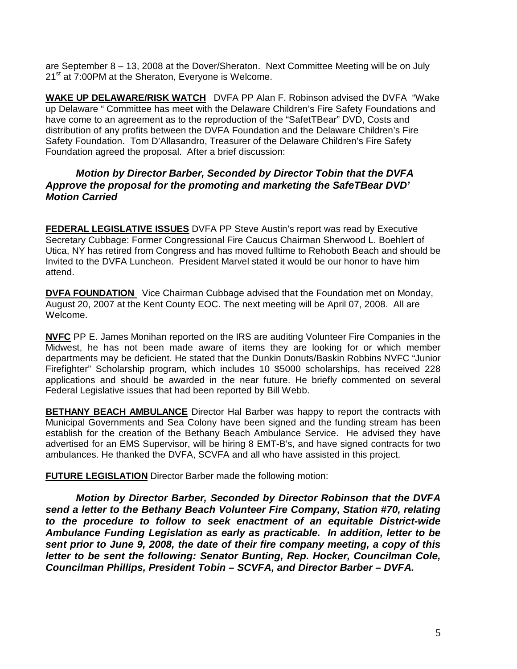are September 8 – 13, 2008 at the Dover/Sheraton. Next Committee Meeting will be on July 21<sup>st</sup> at 7:00PM at the Sheraton, Everyone is Welcome.

**WAKE UP DELAWARE/RISK WATCH** DVFA PP Alan F. Robinson advised the DVFA "Wake up Delaware " Committee has meet with the Delaware Children's Fire Safety Foundations and have come to an agreement as to the reproduction of the "SafetTBear" DVD, Costs and distribution of any profits between the DVFA Foundation and the Delaware Children's Fire Safety Foundation. Tom D'Allasandro, Treasurer of the Delaware Children's Fire Safety Foundation agreed the proposal. After a brief discussion:

# **Motion by Director Barber, Seconded by Director Tobin that the DVFA Approve the proposal for the promoting and marketing the SafeTBear DVD' Motion Carried**

**FEDERAL LEGISLATIVE ISSUES** DVFA PP Steve Austin's report was read by Executive Secretary Cubbage: Former Congressional Fire Caucus Chairman Sherwood L. Boehlert of Utica, NY has retired from Congress and has moved fulltime to Rehoboth Beach and should be Invited to the DVFA Luncheon. President Marvel stated it would be our honor to have him attend.

**DVFA FOUNDATION** Vice Chairman Cubbage advised that the Foundation met on Monday, August 20, 2007 at the Kent County EOC. The next meeting will be April 07, 2008. All are Welcome.

**NVFC** PP E. James Monihan reported on the IRS are auditing Volunteer Fire Companies in the Midwest, he has not been made aware of items they are looking for or which member departments may be deficient. He stated that the Dunkin Donuts/Baskin Robbins NVFC "Junior Firefighter" Scholarship program, which includes 10 \$5000 scholarships, has received 228 applications and should be awarded in the near future. He briefly commented on several Federal Legislative issues that had been reported by Bill Webb.

**BETHANY BEACH AMBULANCE** Director Hal Barber was happy to report the contracts with Municipal Governments and Sea Colony have been signed and the funding stream has been establish for the creation of the Bethany Beach Ambulance Service. He advised they have advertised for an EMS Supervisor, will be hiring 8 EMT-B's, and have signed contracts for two ambulances. He thanked the DVFA, SCVFA and all who have assisted in this project.

**FUTURE LEGISLATION** Director Barber made the following motion:

 **Motion by Director Barber, Seconded by Director Robinson that the DVFA send a letter to the Bethany Beach Volunteer Fire Company, Station #70, relating to the procedure to follow to seek enactment of an equitable District-wide Ambulance Funding Legislation as early as practicable. In addition, letter to be sent prior to June 9, 2008, the date of their fire company meeting, a copy of this letter to be sent the following: Senator Bunting, Rep. Hocker, Councilman Cole, Councilman Phillips, President Tobin – SCVFA, and Director Barber – DVFA.**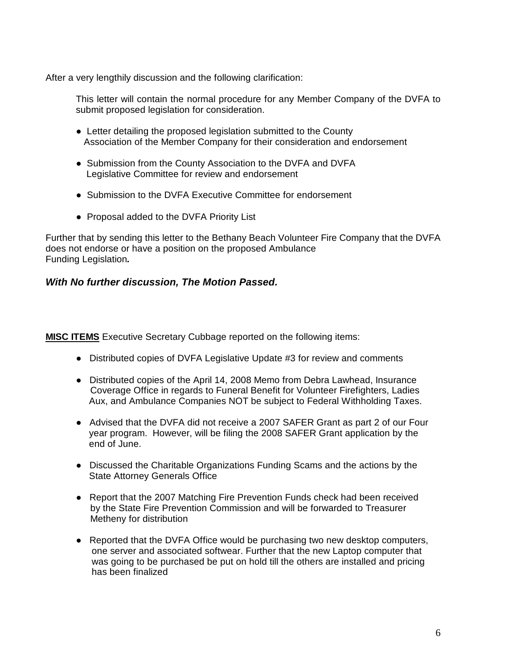After a very lengthily discussion and the following clarification:

This letter will contain the normal procedure for any Member Company of the DVFA to submit proposed legislation for consideration.

- Letter detailing the proposed legislation submitted to the County Association of the Member Company for their consideration and endorsement
- Submission from the County Association to the DVFA and DVFA Legislative Committee for review and endorsement
- Submission to the DVFA Executive Committee for endorsement
- Proposal added to the DVFA Priority List

Further that by sending this letter to the Bethany Beach Volunteer Fire Company that the DVFA does not endorse or have a position on the proposed Ambulance Funding Legislation**.** 

## **With No further discussion, The Motion Passed.**

**MISC ITEMS** Executive Secretary Cubbage reported on the following items:

- Distributed copies of DVFA Legislative Update #3 for review and comments
- Distributed copies of the April 14, 2008 Memo from Debra Lawhead, Insurance Coverage Office in regards to Funeral Benefit for Volunteer Firefighters, Ladies Aux, and Ambulance Companies NOT be subject to Federal Withholding Taxes.
- Advised that the DVFA did not receive a 2007 SAFER Grant as part 2 of our Four year program. However, will be filing the 2008 SAFER Grant application by the end of June.
- Discussed the Charitable Organizations Funding Scams and the actions by the State Attorney Generals Office
- Report that the 2007 Matching Fire Prevention Funds check had been received by the State Fire Prevention Commission and will be forwarded to Treasurer Metheny for distribution
- Reported that the DVFA Office would be purchasing two new desktop computers, one server and associated softwear. Further that the new Laptop computer that was going to be purchased be put on hold till the others are installed and pricing has been finalized